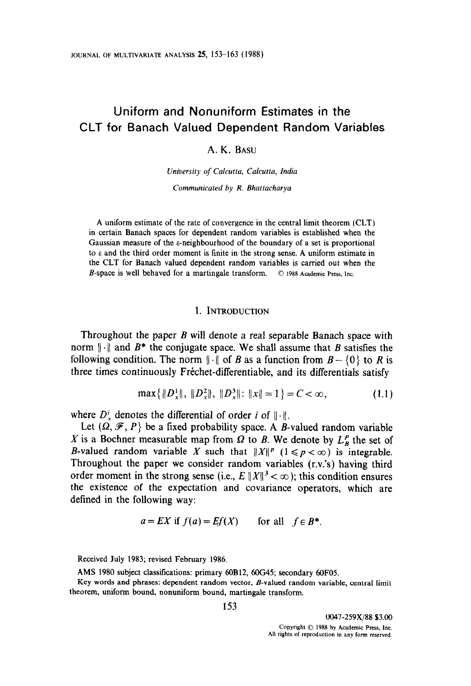# Uniform and Nonuniform Estimates in the CLT for Banach Valued Dependent Random Variables

A. K. BASU

University of Calcutta, Calcutta, India Communicated by R. Bhattacharya

A uniform estimate of the rate of convergence in the central limit theorem (CLT) in certain Banach spaces for dependent random variables is established when the Gaussian measure of the s-neighbourhood of the boundary of a set is proportional to  $\varepsilon$  and the third order moment is finite in the strong sense. A uniform estimate in the CLT for Banach valued dependent random variables is carried out when the B-space is well behaved for a martingale transform.  $\circ$  1988 Academic Press, Inc.

## 1. INTRODUCTION

Throughout the paper B will denote a real separable Banach space with norm  $\|\cdot\|$  and  $B^*$  the conjugate space. We shall assume that B satisfies the following condition. The norm  $\|\cdot\|$  of B as a function from  $B - \{0\}$  to R is three times continuously Fréchet-differentiable, and its differentials satisfy

$$
\max\{\|D_x^1\|,\, \|D_x^2\|,\, \|D_x^3\|: \|x\|=1\} = C < \infty,\tag{1.1}
$$

where  $D^i$ , denotes the differential of order i of  $\|\cdot\|$ .

Let  $(\Omega, \mathcal{F}, P)$  be a fixed probability space. A B-valued random variable X is a Bochner measurable map from  $\Omega$  to B. We denote by  $L_R^P$  the set of B-valued random variable X such that  $||X||^p$   $(1 \leq p < \infty)$  is integrable. Throughout the paper we consider random variables (r.v.'s) having third order moment in the strong sense (i.e.,  $E ||X||^3 < \infty$ ); this condition ensures the existence of the expectation and covariance operators, which are defined in the following way:

$$
a = EX \text{ if } f(a) = Ef(X) \qquad \text{for all} \quad f \in B^*.
$$

Received July 1983; revised February 1986.

AMS 1980 subject classifications: primary 60B12, 6OG45; secondary 6OF05.

Key words and phrases: dependent random vector, B-valued random variable, central limit theorem, uniform bound, nonuniform bound, martingale transform.

0047-259X/88 \$3.00 Copyright  $\odot$  1988 by Academic Press, Inc. All rights of reproduction in any form reserved.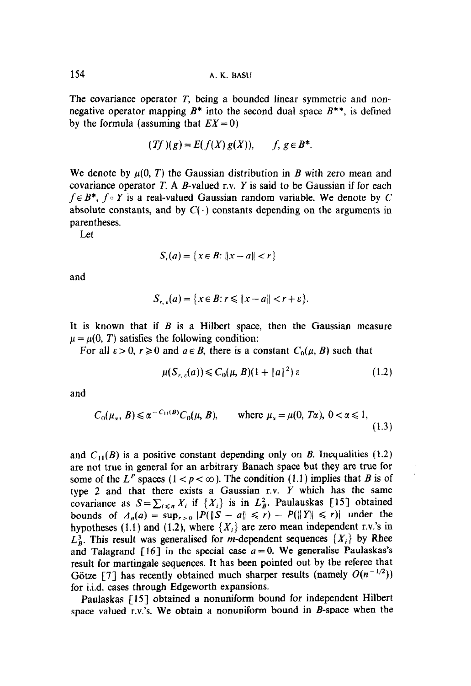154 A. K. BASU

The covariance operator  $T$ , being a bounded linear symmetric and nonnegative operator mapping  $B^*$  into the second dual space  $B^{**}$ , is defined by the formula (assuming that  $EX = 0$ )

$$
(Tf)(g) = E(f(X)g(X)), \qquad f, g \in B^*.
$$

We denote by  $\mu(0, T)$  the Gaussian distribution in B with zero mean and covariance operator  $T$ . A B-valued r.v.  $Y$  is said to be Gaussian if for each  $f \in B^*$ ,  $f \circ Y$  is a real-valued Gaussian random variable. We denote by C absolute constants, and by  $C(\cdot)$  constants depending on the arguments in parentheses.

Let

$$
S_r(a) = \{ x \in B : ||x - a|| < r \}
$$

and

$$
S_{r,\varepsilon}(a) = \{x \in B : r \leqslant ||x - a|| < r + \varepsilon\}.
$$

It is known that if  $B$  is a Hilbert space, then the Gaussian measure  $\mu = \mu(0, T)$  satisfies the following condition:

For all  $\varepsilon > 0$ ,  $r \ge 0$  and  $a \in B$ , there is a constant  $C_0(\mu, B)$  such that

$$
\mu(S_{r,\varepsilon}(a)) \leqslant C_0(\mu, B)(1 + \|a\|^2) \varepsilon \tag{1.2}
$$

and

$$
C_0(\mu_\alpha, B) \le \alpha^{-C_{11}(B)} C_0(\mu, B), \qquad \text{where } \mu_\alpha = \mu(0, T\alpha), \ 0 < \alpha \le 1,\tag{1.3}
$$

and  $C_{11}(B)$  is a positive constant depending only on B. Inequalities (1.2) are not true in general for an arbitrary Banach space but they are true for some of the L<sup>P</sup> spaces ( $1 < p < \infty$ ). The condition (1.1) implies that B is of type 2 and that there exists a Gaussian r.v. Y which has the same covariance as  $S = \sum_{i \le n} X_i$  if  $\{X_i\}$  is in  $L^2_B$ . Paulauskas [15] obtained bounds of  $\Delta_n(a) = \sup_{r>0} |P(\|S-a\| \leq r) - P(\|Y\| \leq r)|$  under the hypotheses (1.1) and (1.2), where  $\{X_i\}$  are zero mean independent r.v.'s in  $L<sub>B</sub><sup>3</sup>$ . This result was generalised for *m*-dependent sequences  $\{X_i\}$  by Rhee and Talagrand [16] in the special case  $a = 0$ . We generalise Paulaskas's result for martingale sequences. It has been pointed out by the referee that Götze [7] has recently obtained much sharper results (namely  $O(n^{-1/2})$ ) for i.i.d. cases through Edgeworth expansions.

Paulaskas [15] obtained a nonuniform bound for independent Hilbert space valued r.v.'s. We obtain a nonuniform bound in B-space when the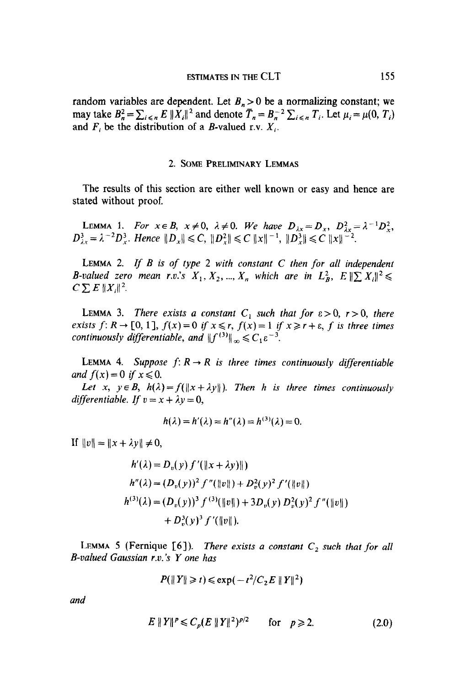random variables are dependent. Let  $B_n > 0$  be a normalizing constant; we may take  $B_n^2 = \sum_{i \le n} E ||X_i||^2$  and denote  $\overline{T}_n = B_n^{-2} \sum_{i \le n} T_i$ . Let  $\mu_i = \mu(0, T_i)$ and  $F_i$  be the distribution of a B-valued r.v.  $X_i$ .

#### 2. SOME PRELIMINARY LEMMAS

The results of this section are either well known or easy and hence are stated without proof.

LEMMA 1. For  $x \in B$ ,  $x \neq 0$ ,  $\lambda \neq 0$ . We have  $D_1 = D_1, D_2 = \lambda$ ;  $D^3 = \lambda^{-2}D^3$ , Hence  $||D|| \le C$ ,  $||D^2|| \le C ||x||^{-1}$ ,  $||D^3|| \le C ||x||^{-2}$ .

LEMMA 2. If  $B$  is of type 2 with constant  $C$  then for all independent B-valued zero mean r.v.'s  $X_1, X_2, ..., X_n$  which are in  $L^2_B$ ,  $E \|\sum X_i\|^2 \leq$  $C\sum E||X_i||^2$ .

LEMMA 3. There exists a constant  $C_1$  such that for  $\varepsilon > 0$ ,  $r > 0$ , there exists  $f: R \to [0, 1], f(x) = 0$  if  $x \le r, f(x) = 1$  if  $x \ge r + \varepsilon, f$  is three times continuously differentiable, and  $||f^{(3)}||_{\infty} \leq C_1 \varepsilon^{-3}$ .

LEMMA 4. Suppose  $f: R \to R$  is three times continuously differentiable and  $f(x)=0$  if  $x\leq 0$ .

Let x,  $y \in B$ ,  $h(\lambda) = f(||x + \lambda y||)$ . Then h is three times continuously differentiable. If  $v = x + \lambda y = 0$ ,

$$
h(\lambda) = h'(\lambda) = h''(\lambda) = h^{(3)}(\lambda) = 0.
$$

If  $||v|| = ||x + \lambda y|| \neq 0$ ,

$$
h'(\lambda) = D_v(y) f'(\|x + \lambda y)\|)
$$
  
\n
$$
h''(\lambda) = (D_v(y))^2 f''(\|v\|) + D_v^2(y)^2 f'(\|v\|)
$$
  
\n
$$
h^{(3)}(\lambda) = (D_v(y))^3 f^{(3)}(\|v\|) + 3D_v(y) D_v^2(y)^2 f''(\|v\|)
$$
  
\n
$$
+ D_v^3(y)^3 f'(\|v\|).
$$

 $L$  (Fernique for all  $\mathcal{G}$  such that for all  $\mathcal{G}$  such that for all  $\mathcal{G}$  such that for all  $\mathcal{G}$  such that for all  $\mathcal{G}$ LEMMA  $\overline{S}$  (reflique [0]). *The* 

$$
P(\|Y\| \ge t) \le \exp(-t^2/C_2 E \|Y\|^2)
$$

$$
E \|Y\|^p \leq C_p (E \|Y\|^2)^{p/2} \qquad \text{for} \quad p \geqslant 2. \tag{2.0}
$$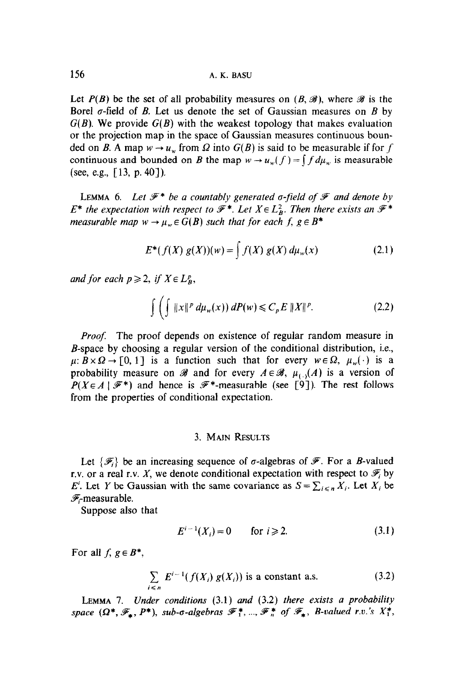Let  $P(B)$  be the set of all probability measures on  $(B, \mathcal{B})$ , where  $\mathcal{B}$  is the Borel  $\sigma$ -field of B. Let us denote the set of Gaussian measures on B by  $G(B)$ . We provide  $G(B)$  with the weakest topology that makes evaluation or the projection map in the space of Gaussian measures continuous bounded on B. A map  $w \to u_w$  from  $\Omega$  into  $G(B)$  is said to be measurable if for f continuous and bounded on B the map  $w \to u_w(f) = \int f d\mu_w$  is measurable (see, e.g.,  $[13, p. 40]$ ).

LEMMA 6. Let  $\mathcal{F}^*$  be a countably generated  $\sigma$ -field of  $\mathcal F$  and denote by  $E^*$  the expectation with respect to  $\mathscr{F}^*$ . Let  $X \in L^2_{R}$ . Then there exists an  $\mathscr{F}^*$ measurable map  $w \to \mu_w \in G(B)$  such that for each f,  $g \in B^*$ 

$$
E^*(f(X) g(X))(w) = \int f(X) g(X) d\mu_w(x)
$$
 (2.1)

and for each  $p \geq 2$ , if  $X \in L^p_B$ ,

$$
\int \left( \int \|x\|^p \, d\mu_w(x) \right) dP(w) \leqslant C_p E \|X\|^p. \tag{2.2}
$$

*Proof.* The proof depends on existence of regular random measure in B-space by choosing a regular version of the conditional distribution, i.e.,  $\mu: B \times \Omega \to [0, 1]$  is a function such that for every  $w \in \Omega$ ,  $\mu_w(\cdot)$  is a probability measure on  $\mathscr B$  and for every  $A \in \mathscr B$ ,  $\mu_{\{.\}}(A)$  is a version of  $P(X \in A \mid \mathcal{F}^*)$  and hence is  $\mathcal{F}^*$ -measurable (see [9]). The rest follows from the properties of conditional expectation.

## 3. MAIN RESULTS

Let  $\{\mathscr{F}_i\}$  be an increasing sequence of  $\sigma$ -algebras of  $\mathscr{F}$ . For a *B*-valued r.v. or a real r.v. X, we denote conditional expectation with respect to  $\mathscr{F}_i$  by E<sup>i</sup>. Let Y be Gaussian with the same covariance as  $S = \sum_{i \le n} X_i$ . Let  $X_i$  be  $\mathscr{F}_\text{r}$ measurable.

Suppose also that

$$
E^{i-1}(X_i) = 0 \qquad \text{for } i \geqslant 2. \tag{3.1}
$$

For all  $f, g \in B^*$ ,

$$
\sum_{i \leq n} E^{i-1}(f(X_i) g(X_i))
$$
 is a constant a.s. (3.2)

LEMMA 7. Under conditions  $(3.1)$  and  $(3.2)$  there exists a probability space  $(\Omega^*, \mathscr{F}_*, P^*)$ , sub-o-algebras  $\mathscr{F}_1^*, ..., \mathscr{F}_n^*$  of  $\mathscr{F}_*,$  B-valued r.v.'s  $X_1^*$ ,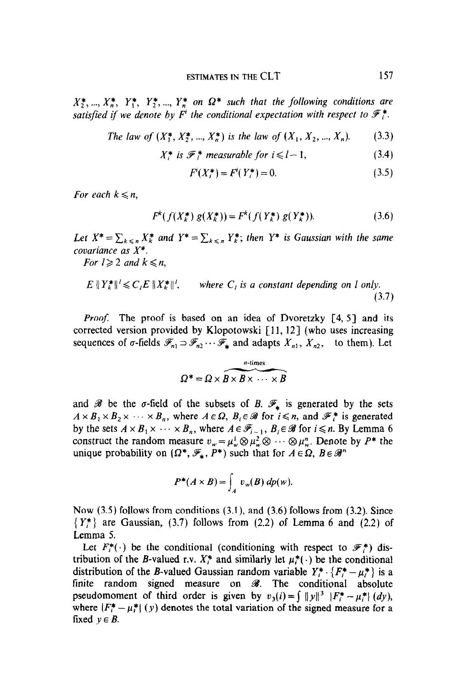$X_2^*,..., X_n^*, Y_1^*, Y_2^*,..., Y_n^*$  on  $\Omega^*$  such that the following conditions are satisfied if we denote by  $F<sup>i</sup>$  the conditional expectation with respect to  $\mathscr{F}_{i}^{*}$ .

The law of 
$$
(X_1^*, X_2^*, ..., X_n^*)
$$
 is the law of  $(X_1, X_2, ..., X_n)$ . (3.3)

$$
X_i^* \text{ is } \mathcal{F}_i^* \text{ measurable for } i \leq l-1,
$$
 (3.4)

$$
F'(X_i^*) = F'(Y_i^*) = 0.
$$
\n(3.5)

For each  $k \leq n$ ,

$$
F^{k}(f(X_{k}^{*}) g(X_{k}^{*})) = F^{k}(f(Y_{k}^{*}) g(Y_{k}^{*})).
$$
\n(3.6)

Let  $X^* = \sum_{k \le n} X_k^*$  and  $Y^* = \sum_{k \le n} Y_k^*$ ; then  $Y^*$  is Gaussian with the same covariance as X\*.

For  $l \geqslant 2$  and  $k \leqslant n$ ,

$$
E \| Y_k^* \|' \le C_i E \| X_k^* \|', \qquad \text{where } C_i \text{ is a constant depending on } l \text{ only.}
$$
\n(3.7)

*Proof.* The proof is based on an idea of Dvoretzky  $[4, 5]$  and its corrected version provided by Klopotowski  $[11, 12]$  (who uses increasing sequences of  $\sigma$ -fields  $\mathscr{F}_{n_1} \supset \mathscr{F}_{n_2} \cdots \mathscr{F}_{*}$  and adapts  $X_{n_1}, X_{n_2}$ , to them). Let

$$
\Omega^* = \Omega \times B \times B \times \cdots \times B
$$

 $\mathbf{a}$  be the subsets of the subsets of  $\mathbf{b}$  $\frac{1}{2}$  is generated by the 3 form  $\frac{1}{2}$  is generated by the sets  $A \times B_1 \times B_2 \times \cdots \times B_n$ , where  $A \in \Omega$ ,  $B_i \in \mathcal{B}$  for  $i \leq n$ , and  $\mathcal{F}_i^*$  is generated by the sets  $A \times B_1 \times \cdots \times B_n$ , where  $A \in \mathscr{F}_{i-1}$ ,  $B_i \in \mathscr{B}$  for  $i \leq n$ . By Lemma 6 construct the random measure  $v_w = \mu_w^1 \otimes \mu_w^2 \otimes \cdots \otimes \mu_w^n$ . Denote by  $P^*$  the unique probability on  $(\Omega^*, \mathcal{F}_*, P^*)$  such that for  $A \in \Omega$ ,  $B \in \mathcal{B}^n$ 

$$
P^*(A\times B)=\int_A v_w(B)\,dp(w).
$$

 $N_{\rm eff}$  follows from conditions (3.1), and (3.1), and (3.1), and (3.1), and (3.6) follows from (3.2). Since  ${Now}$  (3.3) follows from conditions (3.1), and (3.6) follows from (3.2). Since  $\{Y_i^*\}$  are Gaussian, (3.7) follows from (2.2) of Lemma 6 and (2.2) of Lemma 5.  $\text{mma } 5.$ 

Let  $F_i^*(\cdot)$  be the conditional (conditioning with respect to  $\mathscr{F}_i^*(\cdot)$  di tribution of the B-valued r.v.  $X_i^*$  and similarly let  $\mu_i^*(\cdot)$  be the conditional distribution of the *B*-valued Gaussian random variable  $Y^* \cdot \{F^* - \mu^*\}\$ is a finite random signed measure on  $\mathcal{B}$ . The conditional absolute pseudomoment of third order is given by  $v_3(i) = \int ||y||^3 |F_i^* - \mu_i^*| (dy)$ , where  $|F_i^* - \mu_i^*|$  (y) denotes the total variation of the signed measure for a fixed  $v \in B$ .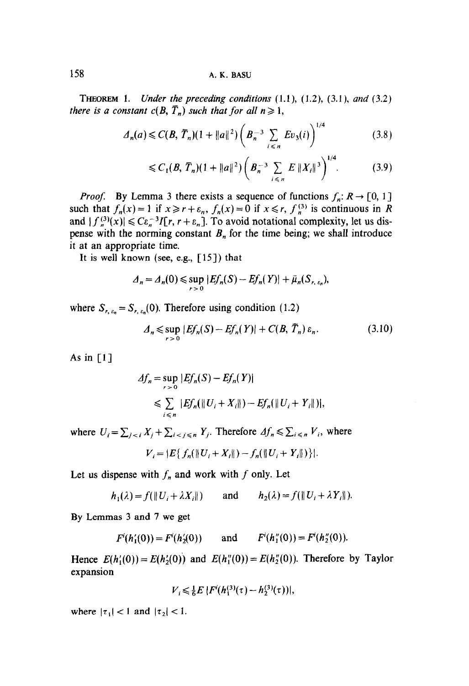158 A. K. BASU

**THEOREM 1.** Under the preceding conditions  $(1.1)$ ,  $(1.2)$ ,  $(3.1)$ , and  $(3.2)$ there is a constant  $c(B, \overline{T}_n)$  such that for all  $n \ge 1$ ,

$$
\Delta_n(a) \leqslant C(B, \bar{T}_n)(1 + \|a\|^2) \left(B_n^{-3} \sum_{i \leqslant n} E v_3(i)\right)^{1/4} \tag{3.8}
$$

$$
\leqslant C_1(B,\,\overline{T}_n)(1+\|a\|^2)\bigg(B_n^{-3}\sum_{i\leqslant n}E\,\|X_i\|^3\bigg)^{1/4}.\tag{3.9}
$$

*Proof.* By Lemma 3 there exists a sequence of functions  $f_n: R \to [0, 1]$ such that  $f_n(x) = 1$  if  $x \ge r + \varepsilon_n$ ,  $f_n(x) = 0$  if  $x \le r$ ,  $f_n^{(3)}$  is continuous in R and  $|f_n^{(3)}(x)| \leq C\epsilon_n^{-3}I[r, r + \epsilon_n]$ . To avoid notational complexity, let us dispense with the norming constant  $B_n$  for the time being; we shall introduce it at an appropriate time.

It is well known (see, e.g.,  $\lceil 15 \rceil$ ) that

$$
\Lambda_n = \Lambda_n(0) \leqslant \sup_{r > 0} |Ef_n(S) - Ef_n(Y)| + \bar{\mu}_n(S_{r,\varepsilon_n}),
$$

where  $S_{r, \varepsilon_n} = S_{r, \varepsilon_n}(0)$ . Therefore using condition (1.2)

$$
A_n \leq \sup_{r>0} |Ef_n(S) - Ef_n(Y)| + C(B, \overline{T}_n) \varepsilon_n.
$$
 (3.10)

As in  $[1]$ 

$$
\begin{aligned} \Delta f_n &= \sup_{r>0} |Ef_n(S) - Ef_n(Y)| \\ &\leq \sum_{i \leq n} |Ef_n(\|U_i + X_i\|) - Ef_n(\|U_i + Y_i\|)|, \end{aligned}
$$

where  $U_i = \sum_{j \le i} X_j + \sum_{i \le j \le n} Y_j$ . Therefore  $\Delta f_n \le \sum_{i \le n} V_i$ , where

$$
V_i = |E\{f_n(\|U_i + X_i\|) - f_n(\|U_i + Y_i\|)\}|.
$$

Let us dispense with  $f_n$  and work with  $f$  only. Let

$$
h_1(\lambda) = f(||U_i + \lambda X_i||) \quad \text{and} \quad h_2(\lambda) = f(||U_i + \lambda Y_i||).
$$

By Lemmas 3 and 7 we get

$$
F(h'_1(0)) = F(h'_2(0))
$$
 and  $F'(h''_1(0)) = F(h''_2(0)).$ 

Hence  $E(h'_1(0)) = E(h'_2(0))$  and  $E(h''_1(0)) = E(h''_2(0))$ . Therefore by Taylor expansion

$$
V_i \leq \frac{1}{6} E |F^{i}(h_1^{(3)}(\tau) - h_2^{(3)}(\tau))|,
$$

where  $|\tau_1| < 1$  and  $|\tau_2| < 1$ .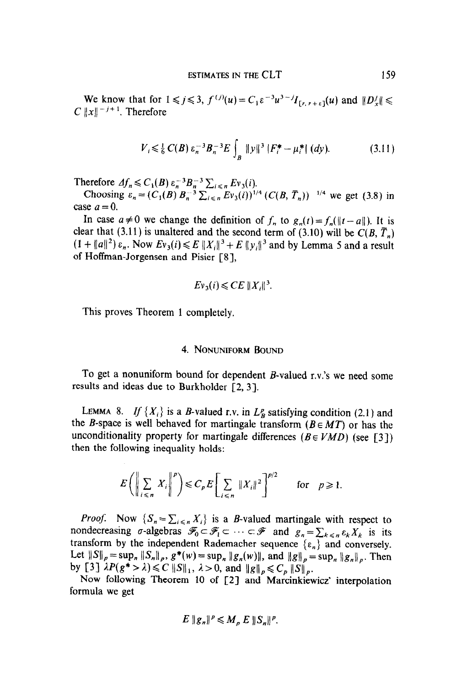We know that for  $1 \le j \le 3$ ,  $f^{(j)}(u) = C_1 \varepsilon^{-3} u^{3-j} I_{[r,r+\varepsilon]}(u)$  and  $||D_x'|| \le$ C  $||x||^{-j+1}$ . Therefore

$$
V_{i} \leq \frac{1}{6} C(B) \, \varepsilon_{n}^{-3} B_{n}^{-3} E \int_{B} \|y\|^{3} |F_{i}^{*} - \mu_{i}^{*}| \, (dy). \tag{3.11}
$$

Therefore  $Af \leq C_1(B) \epsilon^{-3}B^{-3} \sum_{n=1}^{\infty} E_1(i)$ .

Choosing  $\varepsilon_{n} = (C_{1}(B) B^{-3} \sum_{i \in \mathbb{Z}} E_{i}(i))^{1/4} (C(B, \overline{T}_{n}))^{-1/4}$  we get (3.8) in case  $a = 0$ .

In case  $a \neq 0$  we change the definition of  $f_n$  to  $g_n(t) = f_n(\|t - a\|)$ . It is clear that (3.11) is unaltered and the second term of (3.10) will be  $C(B, \overline{T}_n)$  $(1 + ||a||^2) \varepsilon_n$ . Now  $Ev_3(i) \le E ||X_i||^3 + E ||y_i||^3$  and by Lemma 5 and a result of Hoffman-Jorgensen and Pisier [S],

$$
Ev_3(i)\leqslant CE\,\|X_i\|^3.
$$

This proves Theorem 1 completely.

# 4. NONUNIFORM BOUND

To get a nonuniform bound for dependent B-valued r.v.'s we need some results and ideas due to Burkholder [2, 3).

LEMMA 8. If  $\{X_i\}$  is a B-valued r.v. in  $L^p$  satisfying condition (2.1) and  $t_{\text{max}}$  is a  $\mu$  valued for martingale transform (2.1) and  $\mu_{\text{tot}}$  is then behaved for martingale diamsform  $(D \in M)$  of flashing unconditionality property for martingale differences ( $B \in VMD$ ) (see [3]) then the following inequality holds:

$$
E\bigg(\bigg\|\sum_{i\leq n}X_i\bigg\|^p\bigg)\leqslant C_pE\bigg[\sum_{i\leq n}||X_i||^2\bigg]^{p/2}\qquad\text{for}\quad p\geqslant 1.
$$

 $P_{\rm c}$   $\sim$  Now  $\sim$  Cign  $\sim$  Cign Xi is a B-valued martingale with respect to  $\sim$ *noof.* Now  $\{S_n = \sum_{i \leq n} A_i\}$  is a *b*-valued martingale with respect to nondecreasing  $\sigma$ -algebras  $\mathscr{F}_0 \subset \mathscr{F}_1 \subset \cdots \subset \mathscr{F}$  and  $g_n = \sum_{k \leq n} \varepsilon_k X_k$  is its transform by the independent Rademacher sequence  $\{\varepsilon_n\}$  and conversely. Let  $||S||_p = \sup_n ||S_n||_p$ ,  $g^*(w) = \sup_n ||g_n(w)||$ , and  $||g||_p = \sup_n ||g_n||_p$ . Then by [3]  $\lambda P(g^* > \lambda) \leq C \left\| S \right\|_1$ ,  $\lambda > 0$ , and  $\left\| g \right\|_p \leq C_p \left\| S \right\|_p$ .

Now following Theorem 10 of [2] and Marcinkiewicz' interpolation formula we get

$$
E \|g_n\|^p \leqslant M_p E \|S_n\|^p.
$$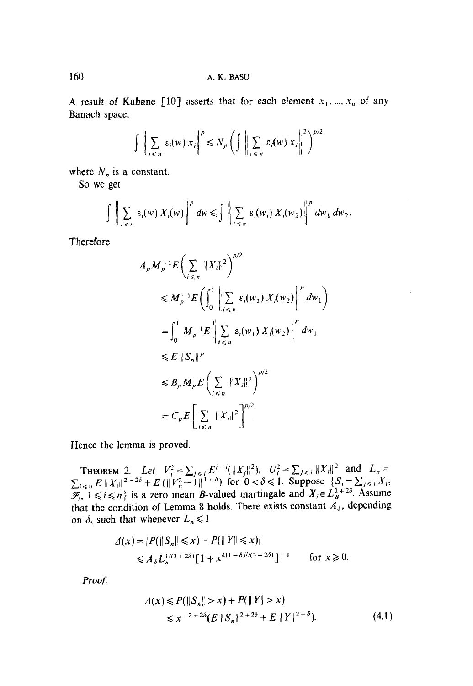A result of Kahane [10] asserts that for each element  $x_1, ..., x_n$  of any Banach space,

$$
\iiint_{i \leq n} \varepsilon_i(w) x_i \bigg|^{p} \leq N_p \left( \iiint_{i \leq n} \varepsilon_i(w) x_i \bigg|^{2} \right)^{p/2}
$$

where  $N_p$  is a constant.

So we get

$$
\int \left\| \sum_{i \leq n} \varepsilon_i(w) X_i(w) \right\|^p dw \leq \int \left\| \sum_{i \leq n} \varepsilon_i(w_i) X_i(w_2) \right\|^p dw_1 dw_2.
$$

Therefore

$$
A_{p} M_{p}^{-1} E \left( \sum_{i \leq n} \|X_{i}\|^{2} \right)^{p/2}
$$
  
\n
$$
\leq M_{p}^{-1} E \left( \int_{0}^{1} \left\| \sum_{i \leq n} \varepsilon_{i}(w_{1}) X_{i}(w_{2}) \right\|^{p} dw_{1} \right)
$$
  
\n
$$
= \int_{0}^{1} M_{p}^{-1} E \left\| \sum_{i \leq n} \varepsilon_{i}(w_{1}) X_{i}(w_{2}) \right\|^{p} dw_{1}
$$
  
\n
$$
\leq E \|S_{n}\|^{p}
$$
  
\n
$$
\leq B_{p} M_{p} E \left( \sum_{i \leq n} \|X_{i}\|^{2} \right)^{p/2}
$$
  
\n
$$
= C_{p} E \left[ \sum_{i \leq n} \|X_{i}\|^{2} \right]^{p/2}.
$$

Hence the lemma is proved.

THEOREM 2. Let  $V_i^2 = \sum_{j \le i} E^{j-i}(\|X_j\|^2)$ ,  $U_i^2 = \sum_{j \le i} \|X_j\|^2$  and  $L_n = \sum_{i \le n} E \|X_i\|^{2+2\delta} + E (\|V_n^2 - 1\|^{1+\delta})$  for  $0 < \delta \le 1$ . Suppose  $\{S_i = \sum_{j \le i} X_i, \mathcal{F}_i, 1 \le i \le n\}$  is a zero mean *B*-valued martingale and  $X_i$ that the condition of Lemma 8 holds. There exists constant  $A_{\delta}$ , depending on  $\delta$ , such that whenever  $L_n \leq 1$ 

$$
\begin{aligned} \n\mathcal{A}(x) &= |P(\|S_n\| \le x) - P(\|Y\| \le x) | \\ \n&\le A_\delta L_n^{1/(3+2\delta)} [1 + x^{4(1+\delta)^2/(3+2\delta)}]^{-1} \qquad \text{for } x \ge 0. \n\end{aligned}
$$

Proof.

$$
\Delta(x) \le P(\|S_n\| > x) + P(\|Y\| > x)
$$
  
\$\leq x^{-2 + 2\delta} (E \|S\_n\|^{2 + 2\delta} + E \|Y\|^{2 + \delta}). \qquad (4.1)

160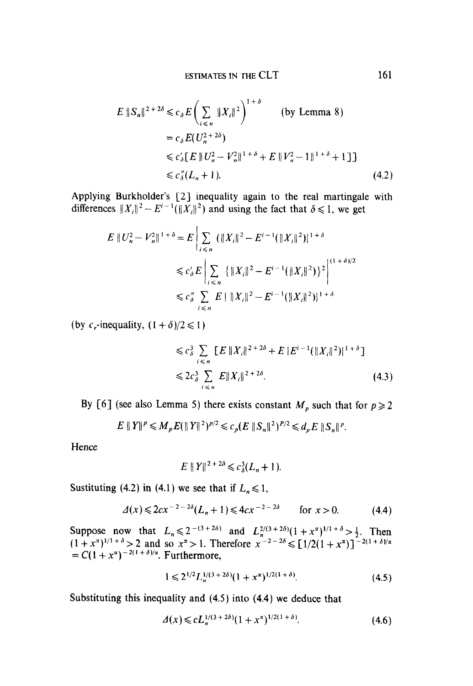$$
E \|S_n\|^{2+2\delta} \le c_{\delta} E \left( \sum_{i \le n} \|X_i\|^2 \right)^{1+\delta} \qquad \text{(by Lemma 8)}
$$
  
=  $c_{\delta} E(U_n^{2+2\delta})$   
 $\le c_{\delta}' [E \| U_n^2 - V_n^2 \|^{1+\delta} + E \| V_n^2 - 1 \|^{1+\delta} + 1 ]]$   
 $\le c_{\delta}'' (L_n + 1).$  (4.2)

Applying Burkholder's [2] inequality again to the real martingale with differences  $||X_i||^2 - E^{i-1}(||X_i||^2)$  and using the fact that  $\delta \le 1$ , we get

$$
E || U_n^2 - V_n^2 ||^{1+\delta} = E \Bigg| \sum_{i \le n} (||X_i||^2 - E^{i-1} (||X_i||^2) |^{1+\delta}
$$
  

$$
\le c_\delta' E \Bigg| \sum_{i \le n} \{ ||X_i||^2 - E^{i-1} (||X_i||^2) \}^2 \Bigg|^{(1+\delta)/2}
$$
  

$$
\le c_\delta'' \sum_{i \le n} E ||X_i||^2 - E^{i-1} (||X_i||^2) |^{1+\delta}
$$

(by c<sub>r</sub>-inequality,  $(1 + \delta)/2 \le 1$ )

$$
\leq c_{\delta}^{3} \sum_{i \leq n} [E ||X_{i}||^{2+2\delta} + E |E^{i-1}(||X_{i}||^{2})|^{1+\delta}]
$$
  

$$
\leq 2c_{\delta}^{3} \sum_{i \leq n} E ||X_{i}||^{2+2\delta}.
$$
 (4.3)

By [6] (see also Lemma 5) there exists constant  $M_p$  such that for  $p \ge 2$ 

$$
E \|Y\|^p \leqslant M_p E (\|Y\|^2)^{p/2} \leqslant c_p (E \|S_n\|^2)^{p/2} \leqslant d_p E \|S_n\|^p.
$$

Hence

$$
E \|Y\|^{2+2\delta} \le c_{\delta}^{3}(L_{n}+1).
$$

Sustituting (4.2) in (4.1) we see that if  $L_n \le 1$ ,

$$
\Delta(x) \leqslant 2cx^{-2-2\delta}(L_n+1) \leqslant 4cx^{-2-2\delta} \qquad \text{for } x > 0. \tag{4.4}
$$

Suppose now that  $L_n \le 2^{-(3+2\delta)}$  and  $L_n^{2/(3+2\delta)}(1+x^{\alpha})^{1/1+\delta} > \frac{1}{2}$ . Then  $(1+x^{\alpha})^{1/1+\delta} > 2$  and so  $x^{\alpha} > 1$ . Therefore  $x^{-2-2\delta} \le [1/2(1+x^{\alpha})]^{-2(1+\delta)/\alpha} = C(1+x^{\alpha})^{-2(1+\delta)/\alpha}$ . Furthermore,

$$
1 \leq 2^{1/2} L_n^{1/(3+2\delta)} (1+x^{\alpha})^{1/2(1+\delta)}.
$$
\n(4.5)

Substituting this inequality and  $(4.5)$  into  $(4.4)$  we deduce that

$$
\Delta(x) \leqslant c L_n^{1/(3+2\delta)} (1+x^{\alpha})^{1/2(1+\delta)}.
$$
\n(4.6)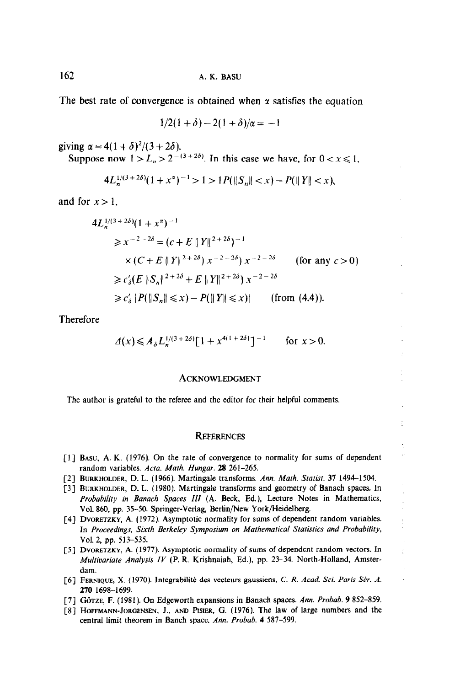The best rate of convergence is obtained when  $\alpha$  satisfies the equation

$$
1/2(1+\delta)-2(1+\delta)/\alpha=-1
$$

giving  $\alpha = 4(1 + \delta)^2/(3 + 2\delta)$ .

Suppose now  $1 > L_n > 2^{-(3+2\delta)}$ . In this case we have, for  $0 < x \le 1$ ,

$$
4L_n^{1/(3+2\delta)}(1+x^{\alpha})^{-1} > 1 > 1P(\|S_n\| < x) - P(\|Y\| < x),
$$

and for  $x > 1$ ,

$$
4L_n^{1/(3+2\delta)}(1+x^{\alpha})^{-1}
$$
  
\n
$$
\geq x^{-2-2\delta} = (c+E ||Y||^{2+2\delta})^{-1}
$$
  
\n
$$
\times (C+E ||Y||^{2+2\delta}) x^{-2-2\delta} \times x^{-2-2\delta} \quad \text{(for any } c > 0)
$$
  
\n
$$
\geq c'_\delta (E ||S_n||^{2+2\delta} + E ||Y||^{2+2\delta}) x^{-2-2\delta}
$$
  
\n
$$
\geq c'_\delta |P(||S_n|| \leq x) - P(||Y|| \leq x) \quad \text{(from (4.4))}.
$$

Therefore

$$
\Delta(x) \le A_{\delta} L_n^{1/(3+2\delta)} [1 + x^{4(1+2\delta)}]^{-1} \qquad \text{for } x > 0.
$$

#### **ACKNOWLEDGMENT**

The author is grateful to the referee and the editor for their helpful comments.

#### **REFERENCES**

- **BASU, A. K.** (1970). On the rate of convergence  $\mu$ random variables. Acta. Math. Hungar. 28 261-265.
- [2] BURKHOLDER, D. L. (1966). Martingale transforms. Ann. Math. Statist. 37 1494-1504.
- [3] BURKHOLDER, D. L. (1980). Martingale transforms and geometry of Banach spaces. In Probability in Banach Spaces III (A. Beck, Ed.), Lecture Notes in Mathematics, Vol. 860, pp. 35-50. Springer-Verlag, Berlin/New York/Heidelberg.
- [4] DVORETZKY, A. (1972). Asymptotic normality for sums of dependent random variables. In Proceedings, Sixth Berkeley Symposium on Mathematical Statistics and Probability, Vol. 2, pp. 513-535.
- [5] DVORETZKY, A. (1977). Asymptotic normality of sums of dependent random vectors. In Multivariate Analysis IV (P. R. Krishnaiah, Ed.), pp. 23-34. North-Holland, Amster- $\delta$ dam. Integrabilite des vecteurs gaussiens, C. R. Acade. Sci. Paris Stir. A. Acad. Sci. Paris Stir. A. Acad. Sci. Paris Stir. A. Acad. Sci. Paris Stir. A. Acad. Sci. Paris Stir. A. Acad. Sci. Paris Stir. A. Acad. Sci.
- [6] FERNIQUE, X. (1970). Integrabilité des vecteurs gaussiens, C. R. Acad. Sci. Paris Sér. A. 270 1698-1699.

L.

- [7] GÖTZE, F. (1981). On Edgeworth expansions in Banach spaces. Ann. Probab. 9 852-859.
- [8] HOFFMANN-JORGENSEN, J., AND PISIER, G. (1976). The law of large numbers and the central limit theorem in Banch space. Ann. Probab. 4 587-599.